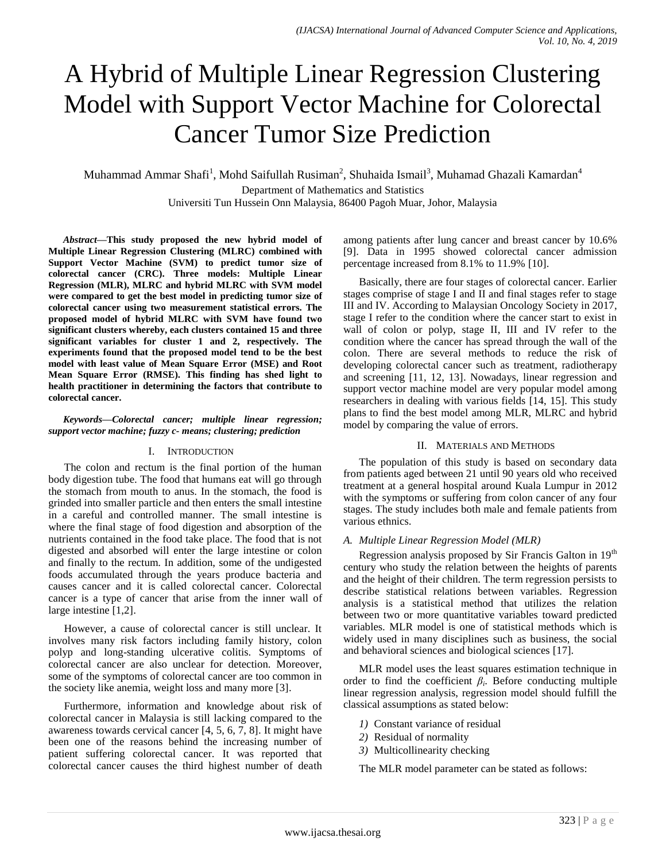# A Hybrid of Multiple Linear Regression Clustering Model with Support Vector Machine for Colorectal Cancer Tumor Size Prediction

Muhammad Ammar Shafi<sup>1</sup>, Mohd Saifullah Rusiman<sup>2</sup>, Shuhaida Ismail<sup>3</sup>, Muhamad Ghazali Kamardan<sup>4</sup> Department of Mathematics and Statistics Universiti Tun Hussein Onn Malaysia, 86400 Pagoh Muar, Johor, Malaysia

*Abstract***—This study proposed the new hybrid model of Multiple Linear Regression Clustering (MLRC) combined with Support Vector Machine (SVM) to predict tumor size of colorectal cancer (CRC). Three models: Multiple Linear Regression (MLR), MLRC and hybrid MLRC with SVM model were compared to get the best model in predicting tumor size of colorectal cancer using two measurement statistical errors. The proposed model of hybrid MLRC with SVM have found two significant clusters whereby, each clusters contained 15 and three significant variables for cluster 1 and 2, respectively. The experiments found that the proposed model tend to be the best model with least value of Mean Square Error (MSE) and Root Mean Square Error (RMSE). This finding has shed light to health practitioner in determining the factors that contribute to colorectal cancer.**

### *Keywords—Colorectal cancer; multiple linear regression; support vector machine; fuzzy c- means; clustering; prediction*

## I. INTRODUCTION

The colon and rectum is the final portion of the human body digestion tube. The food that humans eat will go through the stomach from mouth to anus. In the stomach, the food is grinded into smaller particle and then enters the small intestine in a careful and controlled manner. The small intestine is where the final stage of food digestion and absorption of the nutrients contained in the food take place. The food that is not digested and absorbed will enter the large intestine or colon and finally to the rectum. In addition, some of the undigested foods accumulated through the years produce bacteria and causes cancer and it is called colorectal cancer. Colorectal cancer is a type of cancer that arise from the inner wall of large intestine [1,2].

However, a cause of colorectal cancer is still unclear. It involves many risk factors including family history, colon polyp and long-standing ulcerative colitis. Symptoms of colorectal cancer are also unclear for detection. Moreover, some of the symptoms of colorectal cancer are too common in the society like anemia, weight loss and many more [3].

Furthermore, information and knowledge about risk of colorectal cancer in Malaysia is still lacking compared to the awareness towards cervical cancer  $[4, 5, 6, 7, 8]$ . It might have been one of the reasons behind the increasing number of patient suffering colorectal cancer. It was reported that colorectal cancer causes the third highest number of death among patients after lung cancer and breast cancer by 10.6% [9]. Data in 1995 showed colorectal cancer admission percentage increased from 8.1% to 11.9% [10].

Basically, there are four stages of colorectal cancer. Earlier stages comprise of stage I and II and final stages refer to stage III and IV. According to Malaysian Oncology Society in 2017, stage I refer to the condition where the cancer start to exist in wall of colon or polyp, stage II, III and IV refer to the condition where the cancer has spread through the wall of the colon. There are several methods to reduce the risk of developing colorectal cancer such as treatment, radiotherapy and screening [11, 12, 13]. Nowadays, linear regression and support vector machine model are very popular model among researchers in dealing with various fields [14, 15]. This study plans to find the best model among MLR, MLRC and hybrid model by comparing the value of errors.

## II. MATERIALS AND METHODS

The population of this study is based on secondary data from patients aged between 21 until 90 years old who received treatment at a general hospital around Kuala Lumpur in 2012 with the symptoms or suffering from colon cancer of any four stages. The study includes both male and female patients from various ethnics.

# *A. Multiple Linear Regression Model (MLR)*

Regression analysis proposed by Sir Francis Galton in 19<sup>th</sup> century who study the relation between the heights of parents and the height of their children. The term regression persists to describe statistical relations between variables. Regression analysis is a statistical method that utilizes the relation between two or more quantitative variables toward predicted variables. MLR model is one of statistical methods which is widely used in many disciplines such as business, the social and behavioral sciences and biological sciences [17].

MLR model uses the least squares estimation technique in order to find the coefficient  $\beta_i$ . Before conducting multiple linear regression analysis, regression model should fulfill the classical assumptions as stated below:

- *1)* Constant variance of residual
- *2)* Residual of normality
- *3)* Multicollinearity checking

The MLR model parameter can be stated as follows: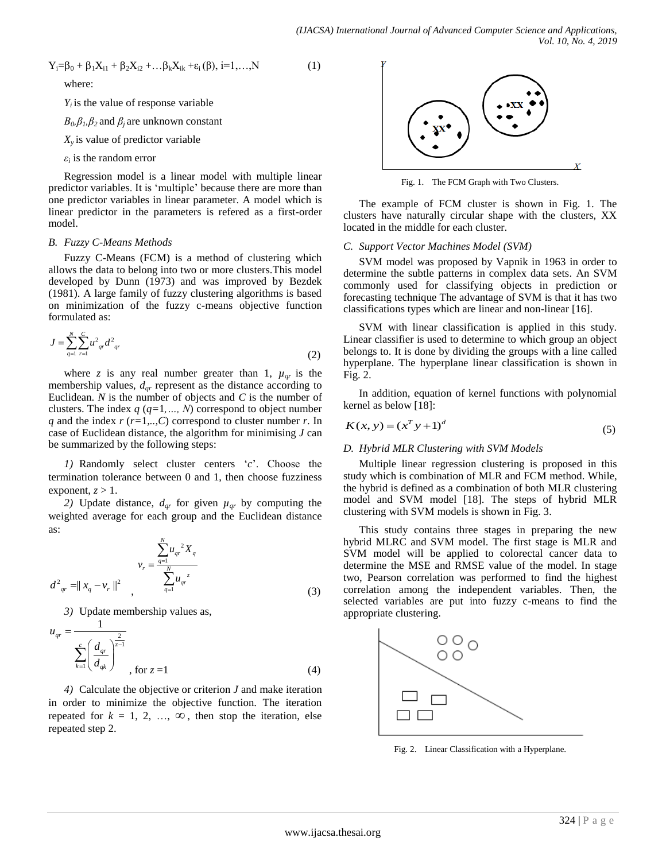$$
Y_i = \beta_0 + \beta_1 X_{i1} + \beta_2 X_{i2} + \dots + \beta_k X_{ik} + \varepsilon_i(\beta), i = 1, \dots, N
$$
 (1)

where:

 $Y_i$  is the value of response variable

 $B_0$ , $\beta_1$ , $\beta_2$  and  $\beta_i$  are unknown constant

 $X<sub>v</sub>$  is value of predictor variable

 $\varepsilon_i$  is the random error

Regression model is a linear model with multiple linear predictor variables. It is 'multiple' because there are more than one predictor variables in linear parameter. A model which is linear predictor in the parameters is refered as a first-order model.

# *B. Fuzzy C-Means Methods*

Fuzzy C-Means (FCM) is a method of clustering which allows the data to belong into two or more clusters.This model developed by Dunn (1973) and was improved by Bezdek (1981). A large family of fuzzy clustering algorithms is based on minimization of the fuzzy c-means objective function formulated as:

$$
J = \sum_{q=1}^{N} \sum_{r=1}^{C} u_{qr} d_{qr}^2
$$
 (2)

where *z* is any real number greater than 1,  $\mu_{qr}$  is the membership values, *dqr* represent as the distance according to Euclidean.  $N$  is the number of objects and  $C$  is the number of clusters. The index *q* (*q=*1*,…, N*) correspond to object number *q* and the index *r* (*r=*1*,..,C*) correspond to cluster number *r*. In case of Euclidean distance, the algorithm for minimising *J* can be summarized by the following steps:

*1)* Randomly select cluster centers '*c*'. Choose the termination tolerance between 0 and 1, then choose fuzziness exponent,  $z > 1$ .

*2)* Update distance,  $d_{qr}$  for given  $\mu_{qr}$  by computing the weighted average for each group and the Euclidean distance as:

$$
v_r = \frac{\sum_{q=1}^{N} u_{qr}^2 X_q}{\sum_{q=1}^{N} u_{qr}^2}
$$
  

$$
d^2_{qr} = ||x_q - v_r||^2
$$
 (3)

*3)* Update membership values as,

$$
u_{qr} = \frac{1}{\sum_{k=1}^{c} \left(\frac{d_{qr}}{d_{qk}}\right)^{\frac{2}{z-1}}}, \text{ for } z = 1
$$
 (4)

*4)* Calculate the objective or criterion *J* and make iteration in order to minimize the objective function. The iteration repeated for  $k = 1, 2, ..., \infty$ , then stop the iteration, else repeated step 2.



Fig. 1. The FCM Graph with Two Clusters.

The example of FCM cluster is shown in Fig. 1. The clusters have naturally circular shape with the clusters, XX located in the middle for each cluster.

## *C. Support Vector Machines Model (SVM)*

SVM model was proposed by Vapnik in 1963 in order to determine the subtle patterns in complex data sets. An SVM commonly used for classifying objects in prediction or forecasting technique The advantage of SVM is that it has two classifications types which are linear and non-linear [16].

SVM with linear classification is applied in this study. Linear classifier is used to determine to which group an object belongs to. It is done by dividing the groups with a line called hyperplane. The hyperplane linear classification is shown in Fig. 2.

In addition, equation of kernel functions with polynomial kernel as below [18]:

$$
K(x, y) = (xT y + 1)d
$$
 (5)

## *D. Hybrid MLR Clustering with SVM Models*

Multiple linear regression clustering is proposed in this study which is combination of MLR and FCM method. While, the hybrid is defined as a combination of both MLR clustering model and SVM model [18]. The steps of hybrid MLR clustering with SVM models is shown in Fig. 3.

This study contains three stages in preparing the new hybrid MLRC and SVM model. The first stage is MLR and SVM model will be applied to colorectal cancer data to determine the MSE and RMSE value of the model. In stage two, Pearson correlation was performed to find the highest correlation among the independent variables. Then, the selected variables are put into fuzzy c-means to find the appropriate clustering.



Fig. 2. Linear Classification with a Hyperplane.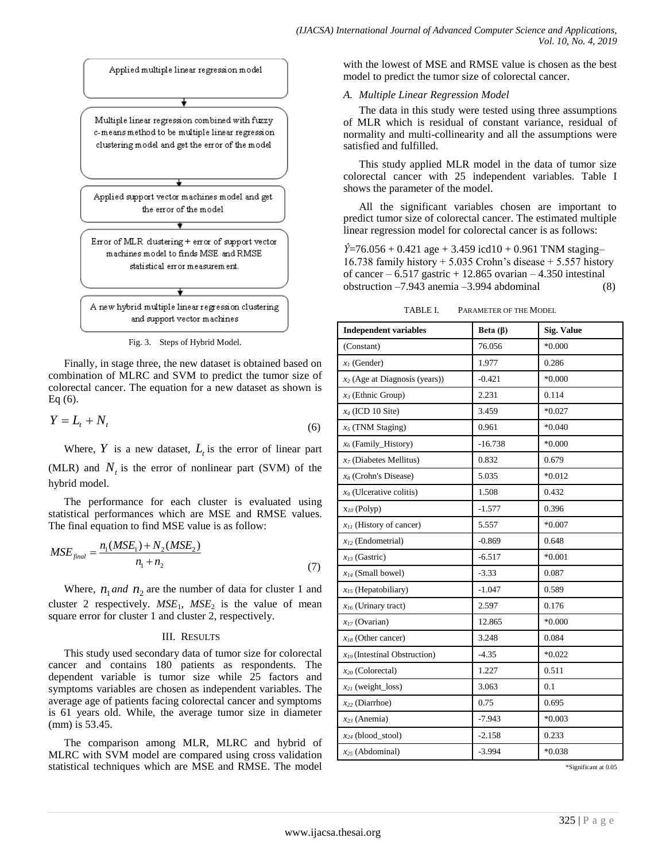

Fig. 3. Steps of Hybrid Model.

Finally, in stage three, the new dataset is obtained based on combination of MLRC and SVM to predict the tumor size of colorectal cancer. The equation for a new dataset as shown is Eq (6).

$$
Y = L_t + N_t \tag{6}
$$

Where,  $Y$  is a new dataset,  $L_t$  is the error of linear part (MLR) and  $N_t$  is the error of nonlinear part (SVM) of the hybrid model.

The performance for each cluster is evaluated using statistical performances which are MSE and RMSE values.

The final equation to find MSE value is as follow:  
\n
$$
MSE_{\text{final}} = \frac{n_1(MSE_1) + N_2(MSE_2)}{n_1 + n_2}
$$
\n(7)

Where,  $n_1$  *and*  $n_2$  are the number of data for cluster 1 and cluster 2 respectively.  $MSE<sub>1</sub>$ ,  $MSE<sub>2</sub>$  is the value of mean square error for cluster 1 and cluster 2, respectively.

#### III. RESULTS

This study used secondary data of tumor size for colorectal cancer and contains 180 patients as respondents. The dependent variable is tumor size while 25 factors and symptoms variables are chosen as independent variables. The average age of patients facing colorectal cancer and symptoms is 61 years old. While, the average tumor size in diameter (mm) is 53.45.

The comparison among MLR, MLRC and hybrid of MLRC with SVM model are compared using cross validation statistical techniques which are MSE and RMSE. The model with the lowest of MSE and RMSE value is chosen as the best model to predict the tumor size of colorectal cancer.

## *A. Multiple Linear Regression Model*

The data in this study were tested using three assumptions of MLR which is residual of constant variance, residual of normality and multi-collinearity and all the assumptions were satisfied and fulfilled.

This study applied MLR model in the data of tumor size colorectal cancer with 25 independent variables. Table I shows the parameter of the model.

All the significant variables chosen are important to predict tumor size of colorectal cancer. The estimated multiple linear regression model for colorectal cancer is as follows:

 $\hat{Y}$ =76.056 + 0.421 age + 3.459 icd10 + 0.961 TNM staging– 16.738 family history  $+ 5.035$  Crohn's disease  $+ 5.557$  history of cancer  $-6.517$  gastric  $+12.865$  ovarian  $-4.350$  intestinal obstruction –7.943 anemia –3.994 abdominal (8)

TABLE I. PARAMETER OF THE MODEL

| <b>Independent variables</b>      | Beta $(\beta)$ | <b>Sig. Value</b> |
|-----------------------------------|----------------|-------------------|
| (Constant)                        | 76.056         | $*0.000$          |
| $x_i$ (Gender)                    | 1.977          | 0.286             |
| $x_2$ (Age at Diagnosis (years))  | $-0.421$       | $*0.000$          |
| $x_3$ (Ethnic Group)              | 2.231          | 0.114             |
| $x_4$ (ICD 10 Site)               | 3.459          | $*0.027$          |
| $x_5$ (TNM Staging)               | 0.961          | $*0.040$          |
| $x_6$ (Family_History)            | $-16.738$      | $*0.000$          |
| $x_7$ (Diabetes Mellitus)         | 0.832          | 0.679             |
| $x_8$ (Crohn's Disease)           | 5.035          | $*0.012$          |
| $x9$ (Ulcerative colitis)         | 1.508          | 0.432             |
| $x_{10}$ (Polyp)                  | $-1.577$       | 0.396             |
| $x_{II}$ (History of cancer)      | 5.557          | $*0.007$          |
| $x_{12}$ (Endometrial)            | $-0.869$       | 0.648             |
| $x_{13}$ (Gastric)                | $-6.517$       | $*0.001$          |
| $x_{14}$ (Small bowel)            | $-3.33$        | 0.087             |
| $x_{15}$ (Hepatobiliary)          | $-1.047$       | 0.589             |
| $x_{16}$ (Urinary tract)          | 2.597          | 0.176             |
| $x_{17}$ (Ovarian)                | 12.865         | $*0.000$          |
| $x_{18}$ (Other cancer)           | 3.248          | 0.084             |
| $x_{19}$ (Intestinal Obstruction) | $-4.35$        | $*0.022$          |
| $x_{20}$ (Colorectal)             | 1.227          | 0.511             |
| $x_{21}$ (weight_loss)            | 3.063          | 0.1               |
| $x_{22}$ (Diarrhoe)               | 0.75           | 0.695             |
| $x_{23}$ (Anemia)                 | $-7.943$       | $*0.003$          |
| $x_{24}$ (blood_stool)            | $-2.158$       | 0.233             |
| $x_{25}$ (Abdominal)              | $-3.994$       | $*0.038$          |

\*Significant at 0.05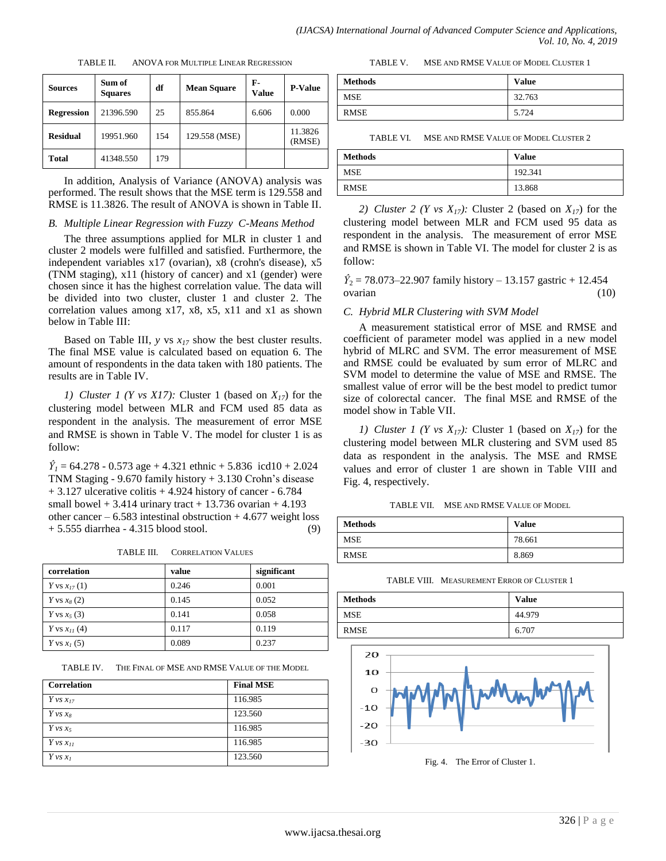| <b>Sources</b>    | Sum of<br><b>Squares</b> | df  | <b>Mean Square</b> | F-<br><b>Value</b> | <b>P-Value</b>    |
|-------------------|--------------------------|-----|--------------------|--------------------|-------------------|
| <b>Regression</b> | 21396.590                | 25  | 855.864            | 6.606              | 0.000             |
| <b>Residual</b>   | 19951.960                | 154 | 129.558 (MSE)      |                    | 11.3826<br>(RMSE) |
| <b>Total</b>      | 41348.550                | 179 |                    |                    |                   |

TABLE II. ANOVA FOR MULTIPLE LINEAR REGRESSION

In addition, Analysis of Variance (ANOVA) analysis was performed. The result shows that the MSE term is 129.558 and RMSE is 11.3826. The result of ANOVA is shown in Table II.

#### *B. Multiple Linear Regression with Fuzzy C-Means Method*

The three assumptions applied for MLR in cluster 1 and cluster 2 models were fulfilled and satisfied. Furthermore, the independent variables x17 (ovarian), x8 (crohn's disease), x5 (TNM staging), x11 (history of cancer) and x1 (gender) were chosen since it has the highest correlation value. The data will be divided into two cluster, cluster 1 and cluster 2. The correlation values among x17, x8, x5, x11 and x1 as shown below in Table III:

Based on Table III, *y* vs *x<sup>17</sup>* show the best cluster results. The final MSE value is calculated based on equation 6. The amount of respondents in the data taken with 180 patients. The results are in Table IV.

*1) Cluster 1 (Y vs X17):* Cluster 1 (based on  $X_{17}$ ) for the clustering model between MLR and FCM used 85 data as respondent in the analysis. The measurement of error MSE and RMSE is shown in Table V. The model for cluster 1 is as follow:

 $\hat{Y}_1 = 64.278 - 0.573$  age + 4.321 ethnic + 5.836 icd10 + 2.024 TNM Staging - 9.670 family history + 3.130 Crohn's disease + 3.127 ulcerative colitis + 4.924 history of cancer - 6.784 small bowel  $+ 3.414$  urinary tract  $+ 13.736$  ovarian  $+ 4.193$ other cancer –  $6.583$  intestinal obstruction + 4.677 weight loss + 5.555 diarrhea - 4.315 blood stool. (9)

TABLE III. CORRELATION VALUES

| correlation      | value | significant |
|------------------|-------|-------------|
| Y vs $x_{17}(1)$ | 0.246 | 0.001       |
| Y vs $x_8(2)$    | 0.145 | 0.052       |
| Y vs $x_5(3)$    | 0.141 | 0.058       |
| Y vs $x_{II}(4)$ | 0.117 | 0.119       |
| Y vs $x_I(5)$    | 0.089 | 0.237       |

TABLE IV. THE FINAL OF MSE AND RMSE VALUE OF THE MODEL

| <b>Correlation</b> | <b>Final MSE</b> |
|--------------------|------------------|
| Y vs $x_{17}$      | 116.985          |
| Y vs $x_8$         | 123.560          |
| $Y \nu s x_5$      | 116.985          |
| $Y \nu s x_{II}$   | 116.985          |
| $Y \nu s x_i$      | 123.560          |

TABLE V. MSE AND RMSE VALUE OF MODEL CLUSTER 1

| <b>Methods</b> | <b>Value</b> |
|----------------|--------------|
| <b>MSE</b>     | 32.763       |
| <b>RMSE</b>    | 5.724        |

TABLE VI. MSE AND RMSE VALUE OF MODEL CLUSTER 2

| <b>Methods</b> | <b>Value</b> |
|----------------|--------------|
| <b>MSE</b>     | 192.341      |
| RMSE           | 13.868       |

2) *Cluster* 2 (*Y vs X<sub>17</sub>*): Cluster 2 (based on  $X_{17}$ ) for the clustering model between MLR and FCM used 95 data as respondent in the analysis. The measurement of error MSE and RMSE is shown in Table VI. The model for cluster 2 is as follow:

 $\hat{Y}_2$  = 78.073–22.907 family history – 13.157 gastric + 12.454 ovarian (10)

#### *C. Hybrid MLR Clustering with SVM Model*

A measurement statistical error of MSE and RMSE and coefficient of parameter model was applied in a new model hybrid of MLRC and SVM. The error measurement of MSE and RMSE could be evaluated by sum error of MLRC and SVM model to determine the value of MSE and RMSE. The smallest value of error will be the best model to predict tumor size of colorectal cancer. The final MSE and RMSE of the model show in Table VII.

*1) Cluster 1 (Y vs X<sub>17</sub>):* Cluster 1 (based on  $X_{17}$ ) for the clustering model between MLR clustering and SVM used 85 data as respondent in the analysis. The MSE and RMSE values and error of cluster 1 are shown in Table VIII and Fig. 4, respectively.

TABLE VII. MSE AND RMSE VALUE OF MODEL

| <b>Methods</b> | <b>Value</b> |
|----------------|--------------|
| <b>MSE</b>     | 78.661       |
| <b>RMSE</b>    | 8.869        |

TABLE VIII. MEASUREMENT ERROR OF CLUSTER 1

| <b>Methods</b> | <b>Value</b> |
|----------------|--------------|
| <b>MSE</b>     | 44.979       |
| <b>RMSE</b>    | 6.707        |



Fig. 4. The Error of Cluster 1.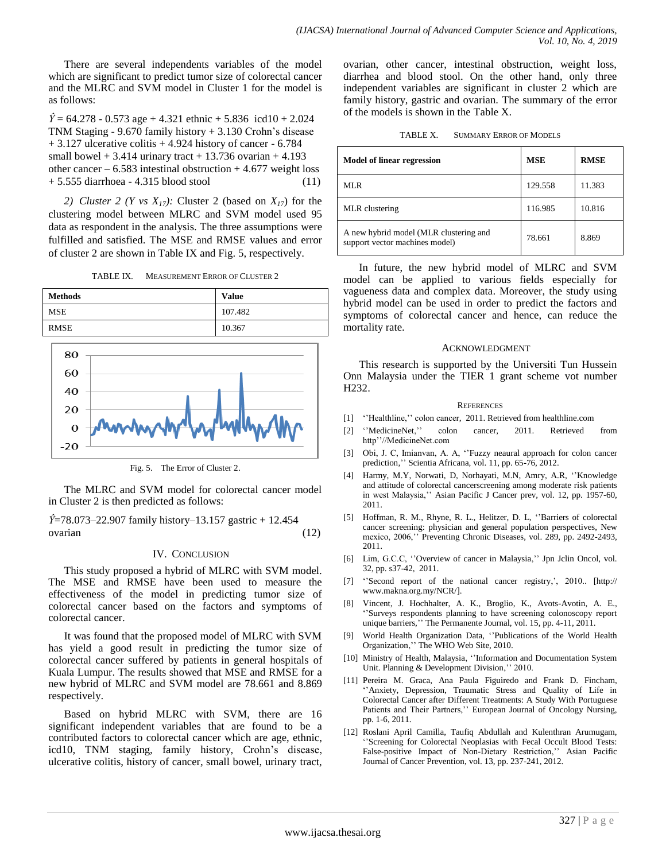There are several independents variables of the model which are significant to predict tumor size of colorectal cancer and the MLRC and SVM model in Cluster 1 for the model is as follows:

 $\hat{Y}$  = 64.278 - 0.573 age + 4.321 ethnic + 5.836 icd10 + 2.024 TNM Staging - 9.670 family history + 3.130 Crohn's disease  $+ 3.127$  ulcerative colitis  $+ 4.924$  history of cancer  $- 6.784$ small bowel  $+ 3.414$  urinary tract  $+ 13.736$  ovarian  $+ 4.193$ other cancer –  $6.583$  intestinal obstruction  $+4.677$  weight loss + 5.555 diarrhoea - 4.315 blood stool (11)

2) *Cluster* 2 (*Y vs X<sub>17</sub>*): Cluster 2 (based on  $X_{17}$ ) for the clustering model between MLRC and SVM model used 95 data as respondent in the analysis. The three assumptions were fulfilled and satisfied. The MSE and RMSE values and error of cluster 2 are shown in Table IX and Fig. 5, respectively.

| TABLE IX. | <b>MEASUREMENT ERROR OF CLUSTER 2</b> |  |  |
|-----------|---------------------------------------|--|--|
|           |                                       |  |  |



Fig. 5. The Error of Cluster 2.

The MLRC and SVM model for colorectal cancer model in Cluster 2 is then predicted as follows:

*Ŷ*=78.073–22.907 family history–13.157 gastric + 12.454 ovarian (12)

## IV. CONCLUSION

This study proposed a hybrid of MLRC with SVM model. The MSE and RMSE have been used to measure the effectiveness of the model in predicting tumor size of colorectal cancer based on the factors and symptoms of colorectal cancer.

It was found that the proposed model of MLRC with SVM has yield a good result in predicting the tumor size of colorectal cancer suffered by patients in general hospitals of Kuala Lumpur. The results showed that MSE and RMSE for a new hybrid of MLRC and SVM model are 78.661 and 8.869 respectively.

Based on hybrid MLRC with SVM, there are 16 significant independent variables that are found to be a contributed factors to colorectal cancer which are age, ethnic, icd10, TNM staging, family history, Crohn's disease, ulcerative colitis, history of cancer, small bowel, urinary tract, ovarian, other cancer, intestinal obstruction, weight loss, diarrhea and blood stool. On the other hand, only three independent variables are significant in cluster 2 which are family history, gastric and ovarian. The summary of the error of the models is shown in the Table X.

| TABLE X. | <b>SUMMARY ERROR OF MODELS</b> |
|----------|--------------------------------|
|----------|--------------------------------|

| <b>Model of linear regression</b>                                        | <b>MSE</b> | <b>RMSE</b> |
|--------------------------------------------------------------------------|------------|-------------|
| ML R                                                                     | 129.558    | 11.383      |
| MLR clustering                                                           | 116.985    | 10.816      |
| A new hybrid model (MLR clustering and<br>support vector machines model) | 78.661     | 8.869       |

In future, the new hybrid model of MLRC and SVM model can be applied to various fields especially for vagueness data and complex data. Moreover, the study using hybrid model can be used in order to predict the factors and symptoms of colorectal cancer and hence, can reduce the mortality rate.

#### ACKNOWLEDGMENT

This research is supported by the Universiti Tun Hussein Onn Malaysia under the TIER 1 grant scheme vot number H232.

#### **REFERENCES**

- [1] ''Healthline,'' colon cancer, 2011. Retrieved from healthline.com
- [2] ''MedicineNet,'' colon cancer, 2011. Retrieved from http''//MedicineNet.com
- [3] Obi, J. C, Imianvan, A. A, ''Fuzzy neaural approach for colon cancer prediction,'' Scientia Africana, vol. 11, pp. 65-76, 2012.
- [4] Harmy, M.Y, Norwati, D, Norhayati, M.N, Amry, A.R, ''Knowledge and attitude of colorectal cancerscreening among moderate risk patients in west Malaysia,'' Asian Pacific J Cancer prev, vol. 12, pp. 1957-60, 2011.
- [5] Hoffman, R. M., Rhyne, R. L., Helitzer, D. L, ''Barriers of colorectal cancer screening: physician and general population perspectives, New mexico, 2006,'' Preventing Chronic Diseases, vol. 289, pp. 2492-2493, 2011.
- [6] Lim, G.C.C, ''Overview of cancer in Malaysia,'' Jpn Jclin Oncol, vol. 32, pp. s37-42, 2011.
- [7] ''Second report of the national cancer registry,', 2010.. [http:// www.makna.org.my/NCR/].
- [8] Vincent, J. Hochhalter, A. K., Broglio, K., Avots-Avotin, A. E., ''Surveys respondents planning to have screening colonoscopy report unique barriers,'' The Permanente Journal, vol. 15, pp. 4-11, 2011.
- [9] World Health Organization Data, ''Publications of the World Health Organization,'' The WHO Web Site, 2010.
- [10] Ministry of Health, Malaysia, ''Information and Documentation System Unit. Planning & Development Division,'' 2010.
- [11] Pereira M. Graca, Ana Paula Figuiredo and Frank D. Fincham, ''Anxiety, Depression, Traumatic Stress and Quality of Life in Colorectal Cancer after Different Treatments: A Study With Portuguese Patients and Their Partners,'' European Journal of Oncology Nursing, pp. 1-6, 2011.
- [12] Roslani April Camilla, Taufiq Abdullah and Kulenthran Arumugam, ''Screening for Colorectal Neoplasias with Fecal Occult Blood Tests: False-positive Impact of Non-Dietary Restriction,'' Asian Pacific Journal of Cancer Prevention, vol. 13, pp. 237-241, 2012.